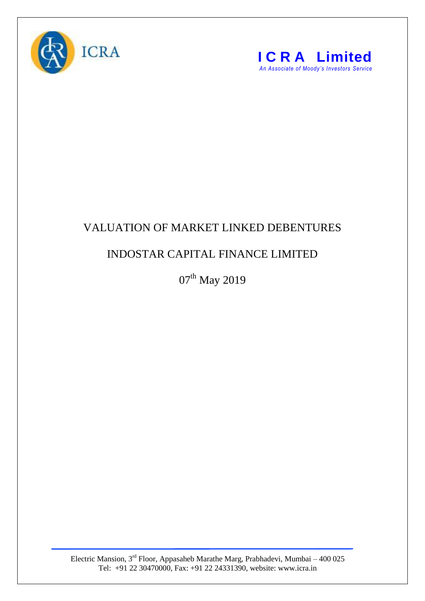



## VALUATION OF MARKET LINKED DEBENTURES

## INDOSTAR CAPITAL FINANCE LIMITED

 $07<sup>th</sup>$  May 2019

Electric Mansion,  $3<sup>rd</sup>$  Floor, Appasaheb Marathe Marg, Prabhadevi, Mumbai – 400 025 Tel: +91 22 30470000, Fax: +91 22 24331390, website: www.icra.in